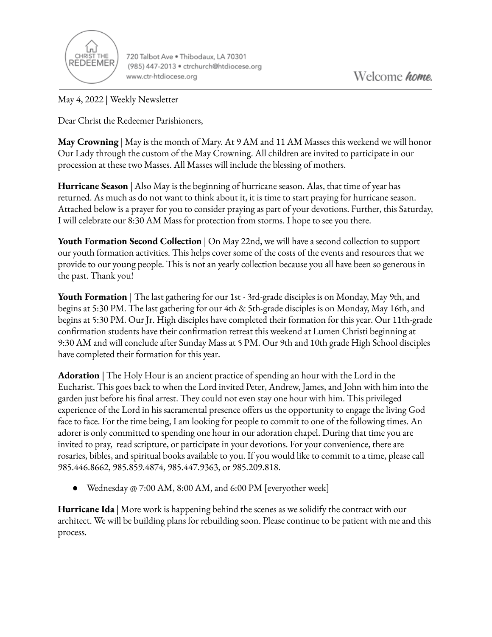

720 Talbot Ave . Thibodaux, LA 70301 (985) 447-2013 · ctrchurch@htdiocese.org www.ctr-htdiocese.org

May 4, 2022 | Weekly Newsletter

Dear Christ the Redeemer Parishioners,

**May Crowning** | May is the month of Mary. At 9 AM and 11 AM Masses this weekend we will honor Our Lady through the custom of the May Crowning. All children are invited to participate in our procession at these two Masses. All Masses will include the blessing of mothers.

**Hurricane Season** | Also May is the beginning of hurricane season. Alas, that time of year has returned. As much as do not want to think about it, it is time to start praying for hurricane season. Attached below is a prayer for you to consider praying as part of your devotions. Further, this Saturday, I will celebrate our 8:30 AM Mass for protection from storms. I hope to see you there.

**Youth Formation Second Collection** | On May 22nd, we will have a second collection to support our youth formation activities. This helps cover some of the costs of the events and resources that we provide to our young people. This is not an yearly collection because you all have been so generous in the past. Thank you!

**Youth Formation** | The last gathering for our 1st - 3rd-grade disciples is on Monday, May 9th, and begins at 5:30 PM. The last gathering for our 4th & 5th-grade disciples is on Monday, May 16th, and begins at 5:30 PM. Our Jr. High disciples have completed their formation for this year. Our 11th-grade confirmation students have their confirmation retreat this weekend at Lumen Christi beginning at 9:30 AM and will conclude after Sunday Mass at 5 PM. Our 9th and 10th grade High School disciples have completed their formation for this year.

**Adoration** | The Holy Hour is an ancient practice of spending an hour with the Lord in the Eucharist. This goes back to when the Lord invited Peter, Andrew, James, and John with him into the garden just before his final arrest. They could not even stay one hour with him. This privileged experience of the Lord in his sacramental presence offers us the opportunity to engage the living God face to face. For the time being, I am looking for people to commit to one of the following times. An adorer is only committed to spending one hour in our adoration chapel. During that time you are invited to pray, read scripture, or participate in your devotions. For your convenience, there are rosaries, bibles, and spiritual books available to you. If you would like to commit to a time, please call 985.446.8662, 985.859.4874, 985.447.9363, or 985.209.818.

Wednesday @ 7:00 AM, 8:00 AM, and 6:00 PM [everyother week]

**Hurricane Ida** | More work is happening behind the scenes as we solidify the contract with our architect. We will be building plans for rebuilding soon. Please continue to be patient with me and this process.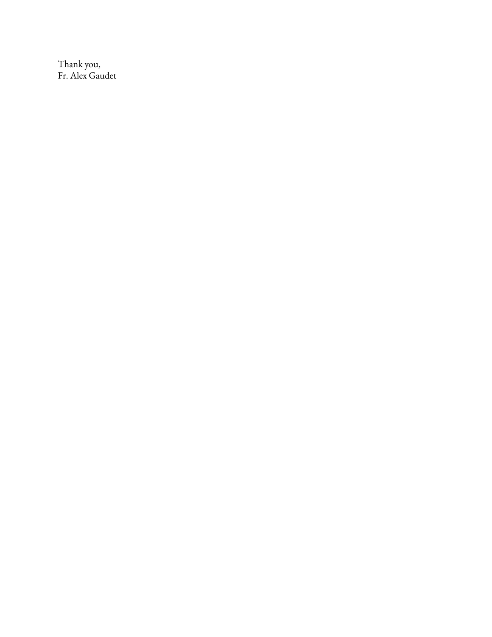Thank you, Fr. Alex Gaudet